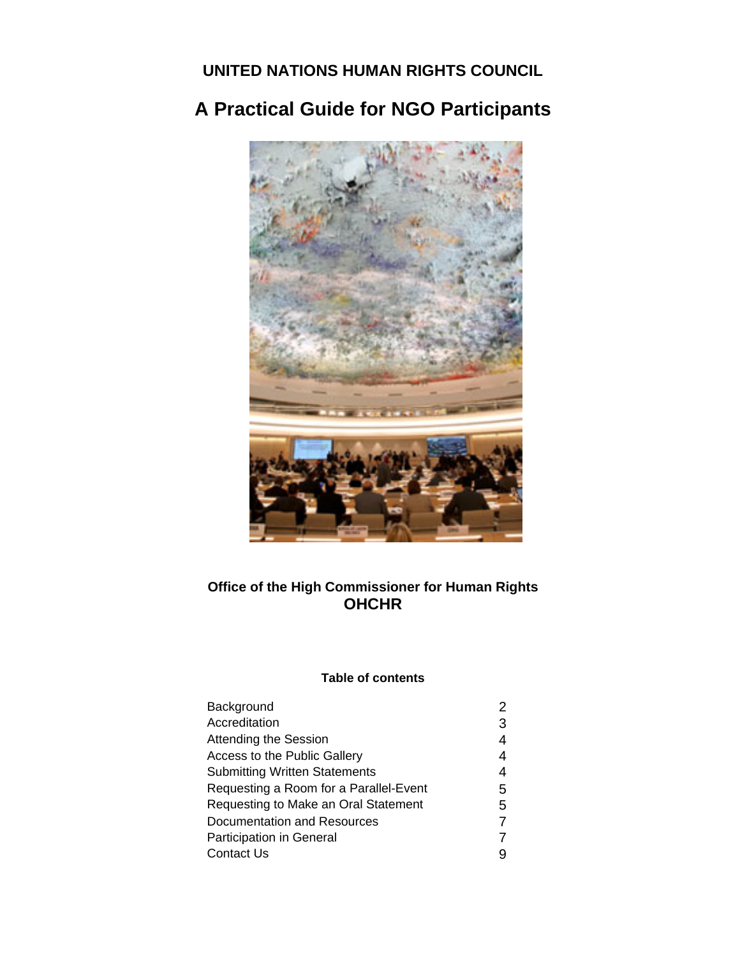**UNITED NATIONS HUMAN RIGHTS COUNCIL** 

# **A Practical Guide for NGO Participants**



# **Office of the High Commissioner for Human Rights OHCHR**

# **Table of contents**

| Background                             |   |
|----------------------------------------|---|
| Accreditation                          | З |
| <b>Attending the Session</b>           | 4 |
| Access to the Public Gallery           | 4 |
| <b>Submitting Written Statements</b>   | 4 |
| Requesting a Room for a Parallel-Event | 5 |
| Requesting to Make an Oral Statement   | 5 |
| Documentation and Resources            |   |
| <b>Participation in General</b>        |   |
| <b>Contact Us</b>                      |   |
|                                        |   |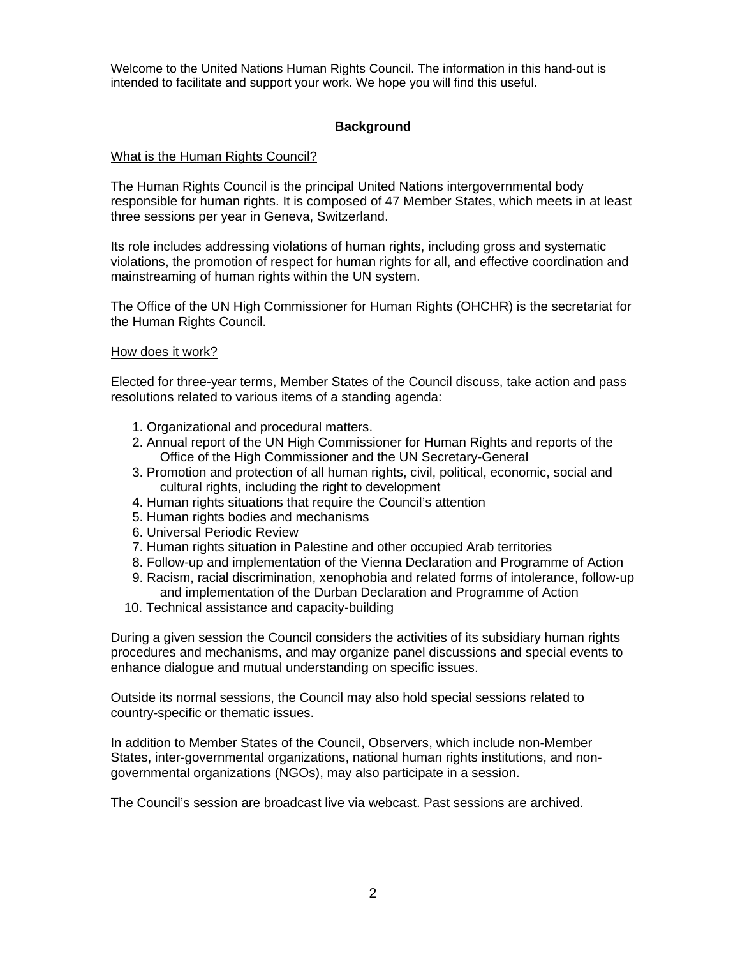Welcome to the United Nations Human Rights Council. The information in this hand-out is intended to facilitate and support your work. We hope you will find this useful.

# **Background**

### What is the Human Rights Council?

The Human Rights Council is the principal United Nations intergovernmental body responsible for human rights. It is composed of 47 Member States, which meets in at least three sessions per year in Geneva, Switzerland.

Its role includes addressing violations of human rights, including gross and systematic violations, the promotion of respect for human rights for all, and effective coordination and mainstreaming of human rights within the UN system.

The Office of the UN High Commissioner for Human Rights (OHCHR) is the secretariat for the Human Rights Council.

### How does it work?

Elected for three-year terms, Member States of the Council discuss, take action and pass resolutions related to various items of a standing agenda:

- 1. Organizational and procedural matters.
- 2. Annual report of the UN High Commissioner for Human Rights and reports of the Office of the High Commissioner and the UN Secretary-General
- 3. Promotion and protection of all human rights, civil, political, economic, social and cultural rights, including the right to development
- 4. Human rights situations that require the Council's attention
- 5. Human rights bodies and mechanisms
- 6. Universal Periodic Review
- 7. Human rights situation in Palestine and other occupied Arab territories
- 8. Follow-up and implementation of the Vienna Declaration and Programme of Action
- 9. Racism, racial discrimination, xenophobia and related forms of intolerance, follow-up and implementation of the Durban Declaration and Programme of Action
- 10. Technical assistance and capacity-building

During a given session the Council considers the activities of its subsidiary human rights procedures and mechanisms, and may organize panel discussions and special events to enhance dialogue and mutual understanding on specific issues.

Outside its normal sessions, the Council may also hold special sessions related to country-specific or thematic issues.

In addition to Member States of the Council, Observers, which include non-Member States, inter-governmental organizations, national human rights institutions, and nongovernmental organizations (NGOs), may also participate in a session.

The Council's session are broadcast live via webcast. Past sessions are archived.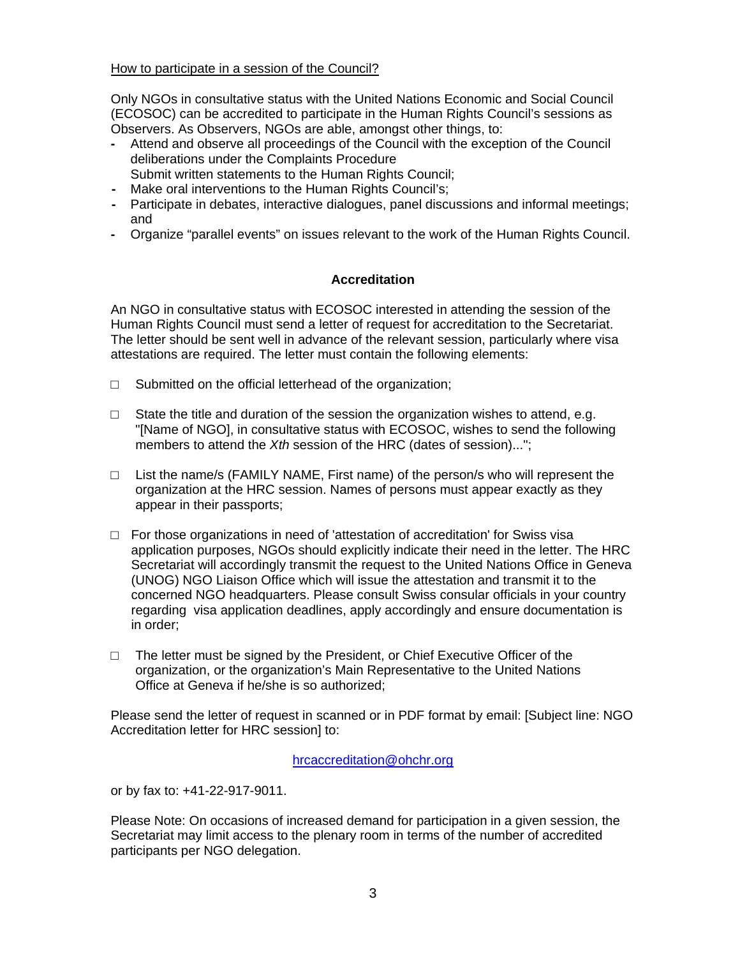### How to participate in a session of the Council?

Only NGOs in consultative status with the United Nations Economic and Social Council (ECOSOC) can be accredited to participate in the Human Rights Council's sessions as Observers. As Observers, NGOs are able, amongst other things, to:

- **-** Attend and observe all proceedings of the Council with the exception of the Council deliberations under the Complaints Procedure Submit written statements to the Human Rights Council;
- **-** Make oral interventions to the Human Rights Council's;
- **-** Participate in debates, interactive dialogues, panel discussions and informal meetings; and
- **-** Organize "parallel events" on issues relevant to the work of the Human Rights Council.

# **Accreditation**

An NGO in consultative status with ECOSOC interested in attending the session of the Human Rights Council must send a letter of request for accreditation to the Secretariat. The letter should be sent well in advance of the relevant session, particularly where visa attestations are required. The letter must contain the following elements:

- $\Box$  Submitted on the official letterhead of the organization;
- $\Box$  State the title and duration of the session the organization wishes to attend, e.g. "[Name of NGO], in consultative status with ECOSOC, wishes to send the following members to attend the *Xth* session of the HRC (dates of session)...";
- $\Box$  List the name/s (FAMILY NAME, First name) of the person/s who will represent the organization at the HRC session. Names of persons must appear exactly as they appear in their passports;
- $\Box$  For those organizations in need of 'attestation of accreditation' for Swiss visa application purposes, NGOs should explicitly indicate their need in the letter. The HRC Secretariat will accordingly transmit the request to the United Nations Office in Geneva (UNOG) NGO Liaison Office which will issue the attestation and transmit it to the concerned NGO headquarters. Please consult Swiss consular officials in your country regarding visa application deadlines, apply accordingly and ensure documentation is in order;
- $\Box$  The letter must be signed by the President, or Chief Executive Officer of the organization, or the organization's Main Representative to the United Nations Office at Geneva if he/she is so authorized;

Please send the letter of request in scanned or in PDF format by email: [Subject line: NGO Accreditation letter for HRC session] to:

### hrcaccreditation@ohchr.org

or by fax to: +41-22-917-9011.

Please Note: On occasions of increased demand for participation in a given session, the Secretariat may limit access to the plenary room in terms of the number of accredited participants per NGO delegation.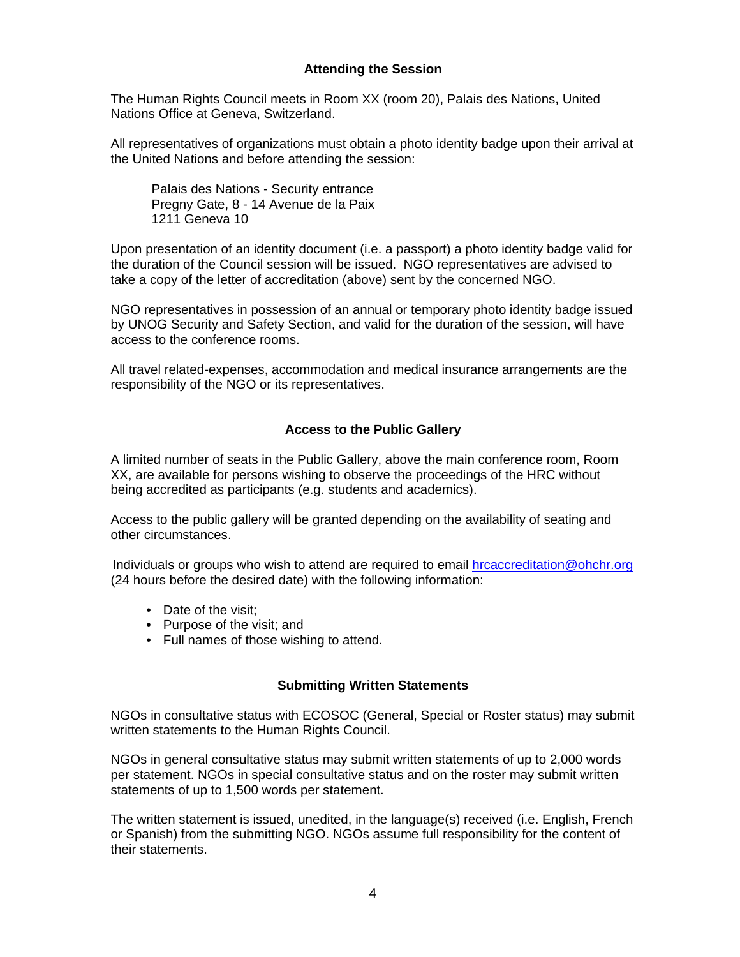# **Attending the Session**

The Human Rights Council meets in Room XX (room 20), Palais des Nations, United Nations Office at Geneva, Switzerland.

All representatives of organizations must obtain a photo identity badge upon their arrival at the United Nations and before attending the session:

Palais des Nations - Security entrance Pregny Gate, 8 - 14 Avenue de la Paix 1211 Geneva 10

Upon presentation of an identity document (i.e. a passport) a photo identity badge valid for the duration of the Council session will be issued. NGO representatives are advised to take a copy of the letter of accreditation (above) sent by the concerned NGO.

NGO representatives in possession of an annual or temporary photo identity badge issued by UNOG Security and Safety Section, and valid for the duration of the session, will have access to the conference rooms.

All travel related-expenses, accommodation and medical insurance arrangements are the responsibility of the NGO or its representatives.

### **Access to the Public Gallery**

A limited number of seats in the Public Gallery, above the main conference room, Room XX, are available for persons wishing to observe the proceedings of the HRC without being accredited as participants (e.g. students and academics).

Access to the public gallery will be granted depending on the availability of seating and other circumstances.

Individuals or groups who wish to attend are required to email **hrcaccreditation@ohchr.org** (24 hours before the desired date) with the following information:

- Date of the visit:
- Purpose of the visit; and
- Full names of those wishing to attend.

#### **Submitting Written Statements**

NGOs in consultative status with ECOSOC (General, Special or Roster status) may submit written statements to the Human Rights Council.

NGOs in general consultative status may submit written statements of up to 2,000 words per statement. NGOs in special consultative status and on the roster may submit written statements of up to 1,500 words per statement.

The written statement is issued, unedited, in the language(s) received (i.e. English, French or Spanish) from the submitting NGO. NGOs assume full responsibility for the content of their statements.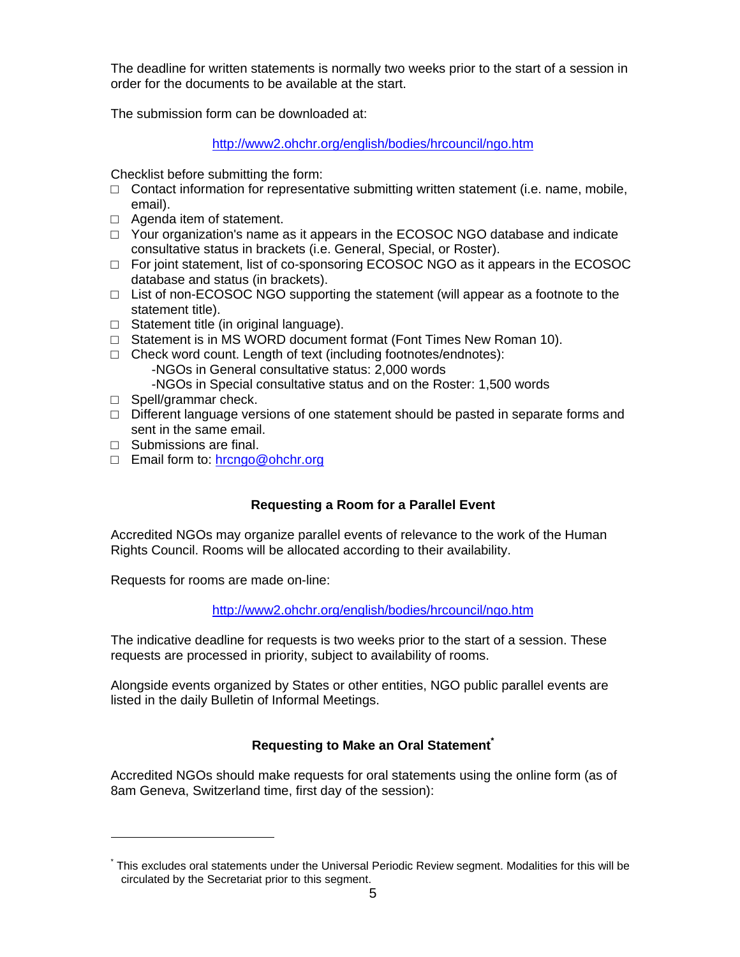The deadline for written statements is normally two weeks prior to the start of a session in order for the documents to be available at the start.

The submission form can be downloaded at:

http://www2.ohchr.org/english/bodies/hrcouncil/ngo.htm

Checklist before submitting the form:

- $\Box$  Contact information for representative submitting written statement (i.e. name, mobile, email).
- □ Agenda item of statement.
- $\Box$  Your organization's name as it appears in the ECOSOC NGO database and indicate consultative status in brackets (i.e. General, Special, or Roster).
- $\Box$  For joint statement, list of co-sponsoring ECOSOC NGO as it appears in the ECOSOC database and status (in brackets).
- $\Box$  List of non-ECOSOC NGO supporting the statement (will appear as a footnote to the statement title).
- □ Statement title (in original language).
- $\Box$  Statement is in MS WORD document format (Font Times New Roman 10).
- $\Box$  Check word count. Length of text (including footnotes/endnotes): -NGOs in General consultative status: 2,000 words -NGOs in Special consultative status and on the Roster: 1,500 words
- □ Spell/grammar check.
- $\Box$  Different language versions of one statement should be pasted in separate forms and sent in the same email.
- □ Submissions are final.

□ Email form to: hrcngo@ohchr.org

# **Requesting a Room for a Parallel Event**

Accredited NGOs may organize parallel events of relevance to the work of the Human Rights Council. Rooms will be allocated according to their availability.

Requests for rooms are made on-line:

http://www2.ohchr.org/english/bodies/hrcouncil/ngo.htm

The indicative deadline for requests is two weeks prior to the start of a session. These requests are processed in priority, subject to availability of rooms.

Alongside events organized by States or other entities, NGO public parallel events are listed in the daily Bulletin of Informal Meetings.

# **Requesting to Make an Oral Statement\***

Accredited NGOs should make requests for oral statements using the online form (as of 8am Geneva, Switzerland time, first day of the session):

<sup>\*</sup> This excludes oral statements under the Universal Periodic Review segment. Modalities for this will be circulated by the Secretariat prior to this segment.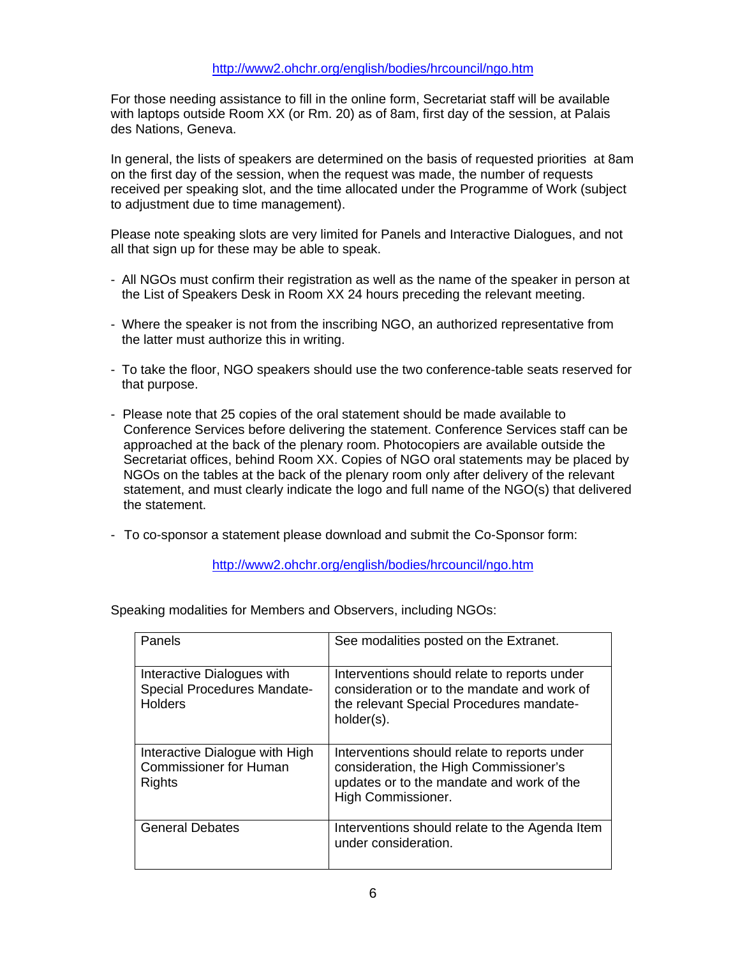For those needing assistance to fill in the online form, Secretariat staff will be available with laptops outside Room XX (or Rm. 20) as of 8am, first day of the session, at Palais des Nations, Geneva.

In general, the lists of speakers are determined on the basis of requested priorities at 8am on the first day of the session, when the request was made, the number of requests received per speaking slot, and the time allocated under the Programme of Work (subject to adjustment due to time management).

Please note speaking slots are very limited for Panels and Interactive Dialogues, and not all that sign up for these may be able to speak.

- All NGOs must confirm their registration as well as the name of the speaker in person at the List of Speakers Desk in Room XX 24 hours preceding the relevant meeting.
- Where the speaker is not from the inscribing NGO, an authorized representative from the latter must authorize this in writing.
- To take the floor, NGO speakers should use the two conference-table seats reserved for that purpose.
- Please note that 25 copies of the oral statement should be made available to Conference Services before delivering the statement. Conference Services staff can be approached at the back of the plenary room. Photocopiers are available outside the Secretariat offices, behind Room XX. Copies of NGO oral statements may be placed by NGOs on the tables at the back of the plenary room only after delivery of the relevant statement, and must clearly indicate the logo and full name of the NGO(s) that delivered the statement.
- To co-sponsor a statement please download and submit the Co-Sponsor form:

### http://www2.ohchr.org/english/bodies/hrcouncil/ngo.htm

| Panels                                                                      | See modalities posted on the Extranet.                                                                                                                    |
|-----------------------------------------------------------------------------|-----------------------------------------------------------------------------------------------------------------------------------------------------------|
| Interactive Dialogues with<br>Special Procedures Mandate-<br><b>Holders</b> | Interventions should relate to reports under<br>consideration or to the mandate and work of<br>the relevant Special Procedures mandate-<br>holder(s).     |
| Interactive Dialogue with High<br><b>Commissioner for Human</b><br>Rights   | Interventions should relate to reports under<br>consideration, the High Commissioner's<br>updates or to the mandate and work of the<br>High Commissioner. |
| <b>General Debates</b>                                                      | Interventions should relate to the Agenda Item<br>under consideration.                                                                                    |

Speaking modalities for Members and Observers, including NGOs: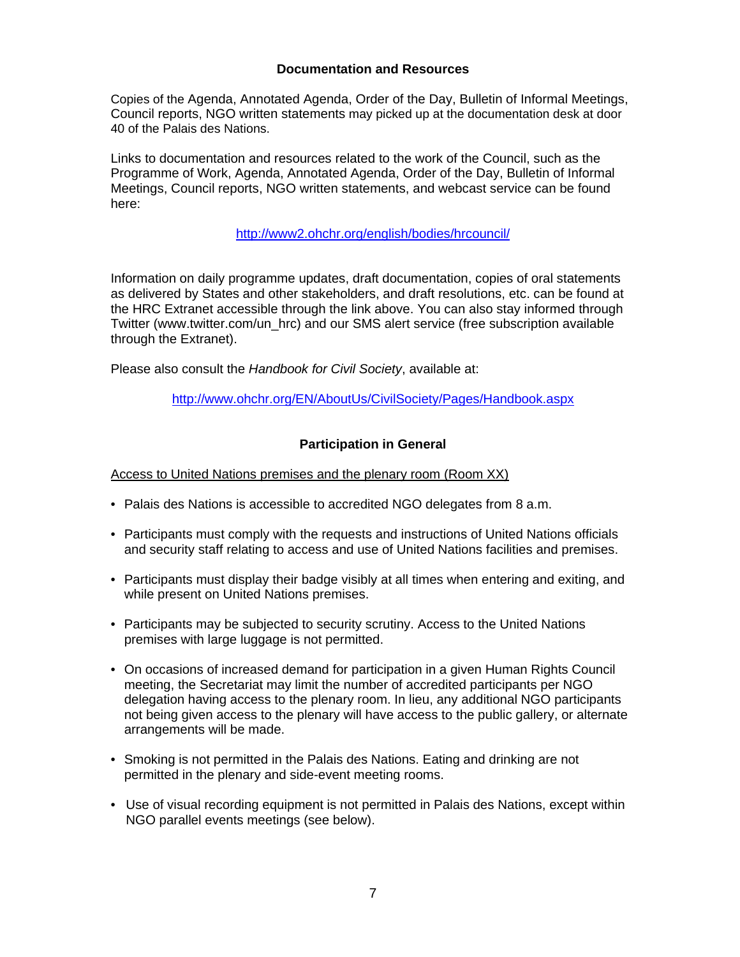# **Documentation and Resources**

Copies of the Agenda, Annotated Agenda, Order of the Day, Bulletin of Informal Meetings, Council reports, NGO written statements may picked up at the documentation desk at door 40 of the Palais des Nations.

Links to documentation and resources related to the work of the Council, such as the Programme of Work, Agenda, Annotated Agenda, Order of the Day, Bulletin of Informal Meetings, Council reports, NGO written statements, and webcast service can be found here:

### http://www2.ohchr.org/english/bodies/hrcouncil/

Information on daily programme updates, draft documentation, copies of oral statements as delivered by States and other stakeholders, and draft resolutions, etc. can be found at the HRC Extranet accessible through the link above. You can also stay informed through Twitter (www.twitter.com/un\_hrc) and our SMS alert service (free subscription available through the Extranet).

Please also consult the *Handbook for Civil Society*, available at:

http://www.ohchr.org/EN/AboutUs/CivilSociety/Pages/Handbook.aspx

# **Participation in General**

Access to United Nations premises and the plenary room (Room XX)

- Palais des Nations is accessible to accredited NGO delegates from 8 a.m.
- Participants must comply with the requests and instructions of United Nations officials and security staff relating to access and use of United Nations facilities and premises.
- Participants must display their badge visibly at all times when entering and exiting, and while present on United Nations premises.
- Participants may be subjected to security scrutiny. Access to the United Nations premises with large luggage is not permitted.
- On occasions of increased demand for participation in a given Human Rights Council meeting, the Secretariat may limit the number of accredited participants per NGO delegation having access to the plenary room. In lieu, any additional NGO participants not being given access to the plenary will have access to the public gallery, or alternate arrangements will be made.
- Smoking is not permitted in the Palais des Nations. Eating and drinking are not permitted in the plenary and side-event meeting rooms.
- Use of visual recording equipment is not permitted in Palais des Nations, except within NGO parallel events meetings (see below).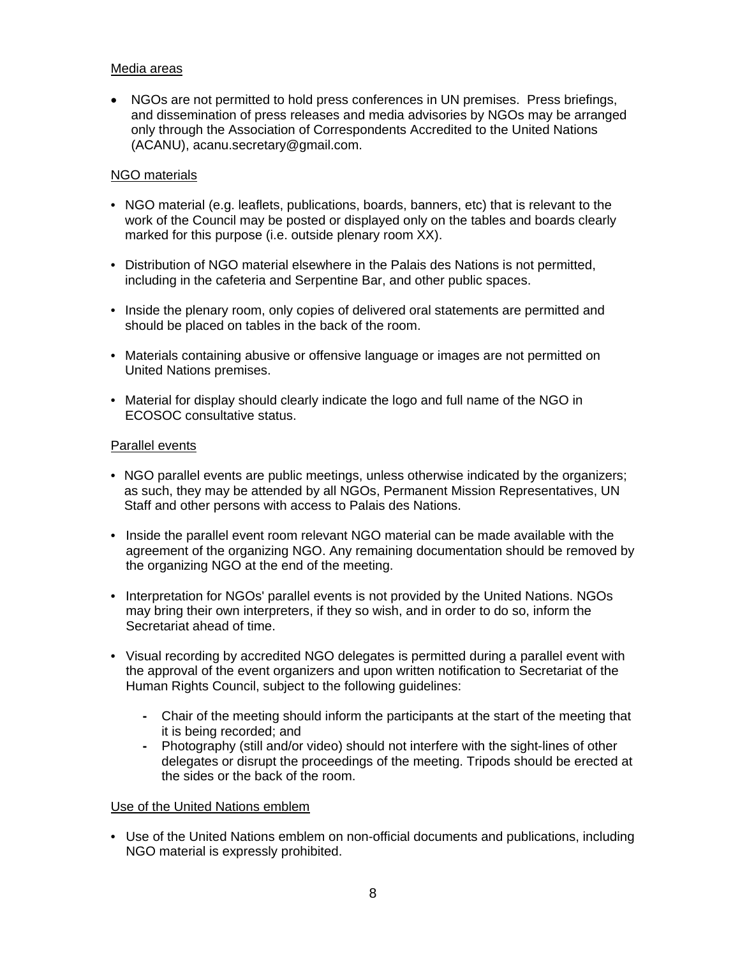# Media areas

• NGOs are not permitted to hold press conferences in UN premises. Press briefings, and dissemination of press releases and media advisories by NGOs may be arranged only through the Association of Correspondents Accredited to the United Nations (ACANU), acanu.secretary@gmail.com.

### NGO materials

- NGO material (e.g. leaflets, publications, boards, banners, etc) that is relevant to the work of the Council may be posted or displayed only on the tables and boards clearly marked for this purpose (i.e. outside plenary room XX).
- Distribution of NGO material elsewhere in the Palais des Nations is not permitted, including in the cafeteria and Serpentine Bar, and other public spaces.
- Inside the plenary room, only copies of delivered oral statements are permitted and should be placed on tables in the back of the room.
- Materials containing abusive or offensive language or images are not permitted on United Nations premises.
- Material for display should clearly indicate the logo and full name of the NGO in ECOSOC consultative status.

### Parallel events

- NGO parallel events are public meetings, unless otherwise indicated by the organizers; as such, they may be attended by all NGOs, Permanent Mission Representatives, UN Staff and other persons with access to Palais des Nations.
- Inside the parallel event room relevant NGO material can be made available with the agreement of the organizing NGO. Any remaining documentation should be removed by the organizing NGO at the end of the meeting.
- Interpretation for NGOs' parallel events is not provided by the United Nations. NGOs may bring their own interpreters, if they so wish, and in order to do so, inform the Secretariat ahead of time.
- Visual recording by accredited NGO delegates is permitted during a parallel event with the approval of the event organizers and upon written notification to Secretariat of the Human Rights Council, subject to the following guidelines:
	- **-** Chair of the meeting should inform the participants at the start of the meeting that it is being recorded; and
	- **-** Photography (still and/or video) should not interfere with the sight-lines of other delegates or disrupt the proceedings of the meeting. Tripods should be erected at the sides or the back of the room.

### Use of the United Nations emblem

• Use of the United Nations emblem on non-official documents and publications, including NGO material is expressly prohibited.